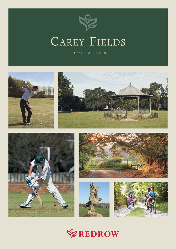

# CAREY FIELDS

LOCAL AMENITIES